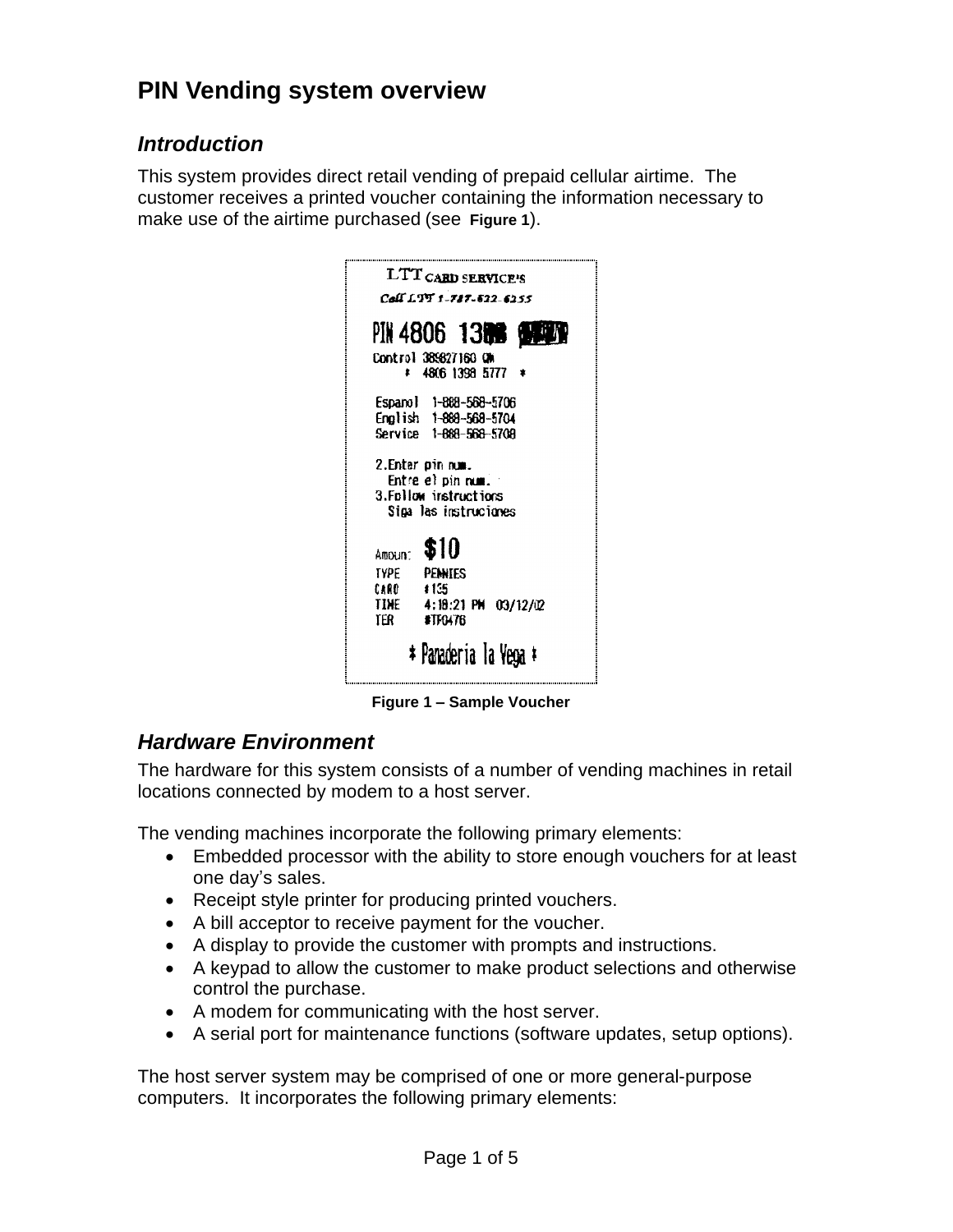# **PIN Vending system overview**

# **Introduction**

This system provides direct retail vending of prepaid cellular airtime. The customer receives a printed voucher containing the information necessary to make use of the airtime purchased (see **Figure 1**).



**Figure 1 – Sample Voucher**

# **Hardware Environment**

The hardware for this system consists of a number of vending machines in retail locations connected by modem to a host server.

The vending machines incorporate the following primary elements:

- Embedded processor with the ability to store enough vouchers for at least one day's sales.
- · Receipt style printer for producing printed vouchers.
- · A bill acceptor to receive payment for the voucher.
- · A display to provide the customer with prompts and instructions.
- · A keypad to allow the customer to make product selections and otherwise control the purchase.
- A modem for communicating with the host server.
- A serial port for maintenance functions (software updates, setup options).

The host server system may be comprised of one or more general-purpose computers. It incorporates the following primary elements: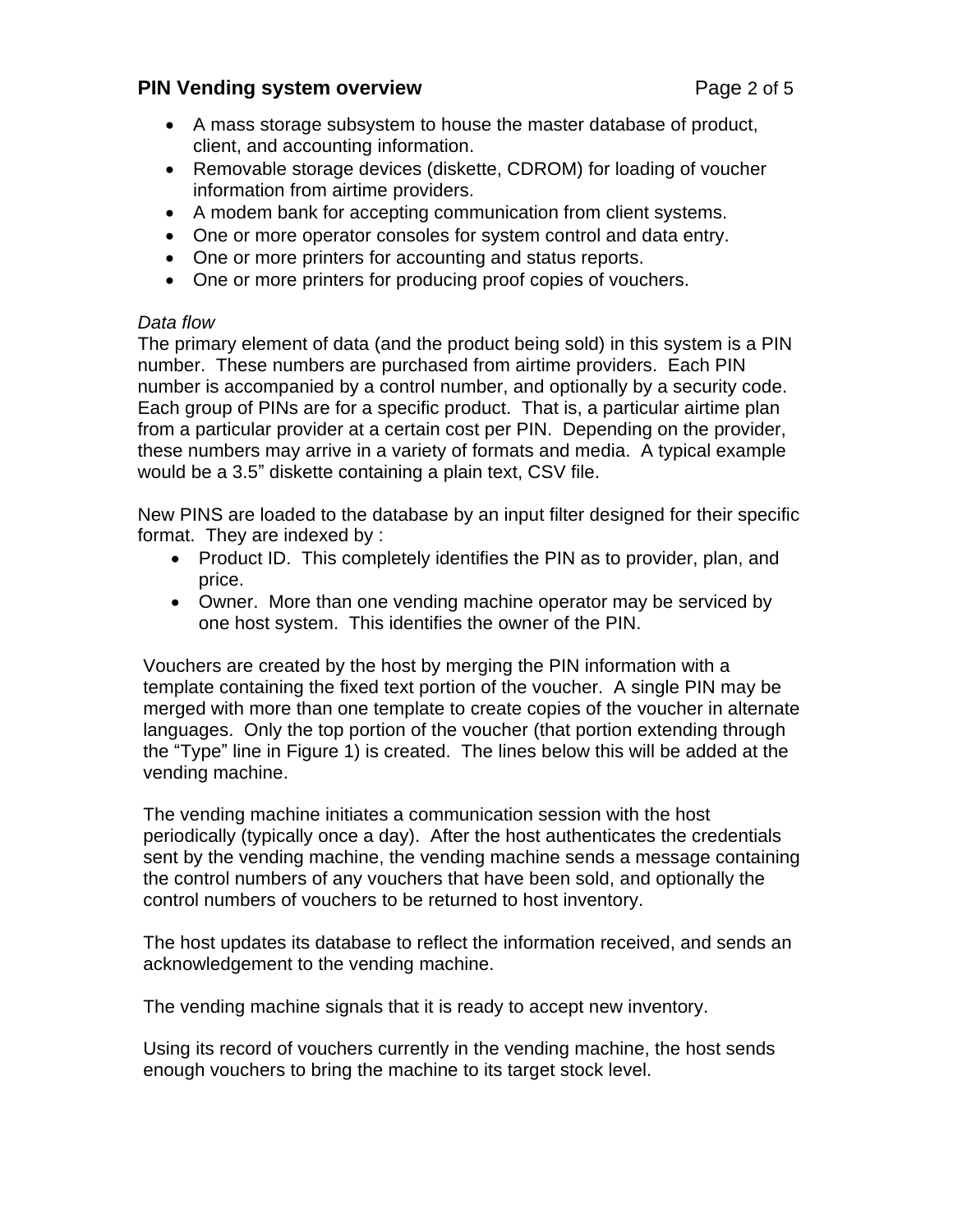#### **PIN** Vending system overview **PIN** Vending system overview

- · A mass storage subsystem to house the master database of product, client, and accounting information.
- · Removable storage devices (diskette, CDROM) for loading of voucher information from airtime providers.
- · A modem bank for accepting communication from client systems.
- · One or more operator consoles for system control and data entry.
- · One or more printers for accounting and status reports.
- One or more printers for producing proof copies of vouchers.

#### Data flow

The primary element of data (and the product being sold) in this system is a PIN number. These numbers are purchased from airtime providers. Each PIN number is accompanied by a control number, and optionally by a security code. Each group of PINs are for a specific product. That is, a particular airtime plan from a particular provider at a certain cost per PIN. Depending on the provider, these numbers may arrive in a variety of formats and media. A typical example would be a 3.5" diskette containing a plain text, CSV file.

New PINS are loaded to the database by an inputfilter designed for their specific format. They are indexed by :

- · Product ID. This completely identifies the PIN as to provider, plan, and price.
- · Owner. More than one vending machine operator may be serviced by one host system. This identifies the owner of the PIN.

Vouchers are created by the host by merging the PIN information with a template containing the fixed text portion of the voucher. A single PIN may be merged with more than one template to create copies of the voucher in alternate languages. Only the top portion of the voucher (that portion extending through the "Type" line in Figure 1) is created. The lines below this will be added at the vending machine.

The vending machine initiates a communication session with the host periodically (typically once a day). After the host authenticates the credentials sent by the vending machine, the vending machine sends a message containing the control numbers of any vouchers that have been sold, and optionally the control numbers of vouchers to be returned to host inventory.

The host updates its database to reflect the information received, and sends an acknowledgement to the vending machine.

The vending machine signals that it is ready to accept new inventory.

Using its record of vouchers currently in the vending machine, the host sends enough vouchers to bring the machine to its target stock level.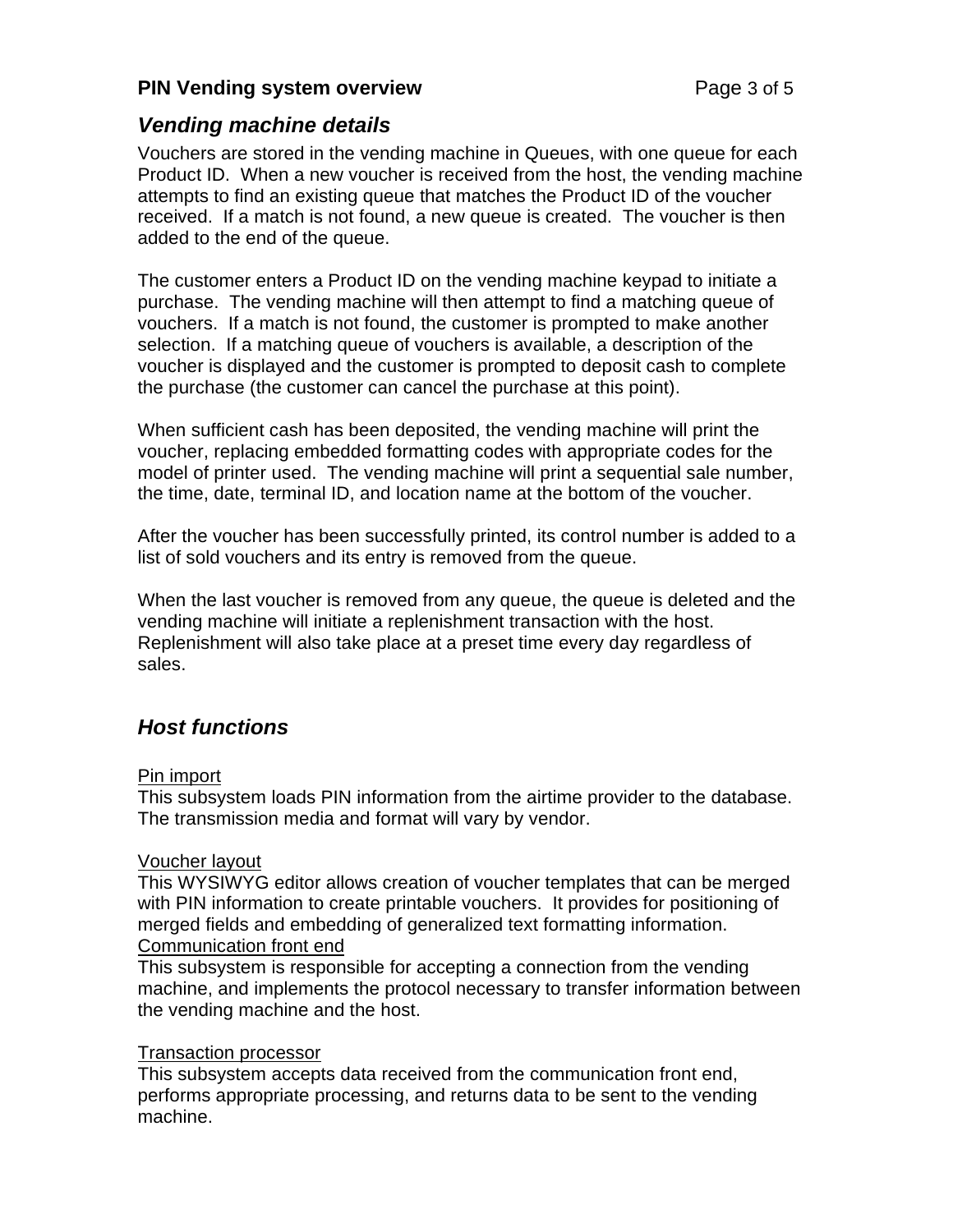### **PIN** Vending system overview **PIN** Vending system overview

### **Vending machine details**

Vouchers are stored in the vending machine in Queues, with one queue for each Product ID. When a new voucher is received from the host, the vending machine attempts to find an existing queue that matches the Product ID of the voucher received. If a match is not found, a new queue is created. The voucher is then added to the end of the queue.

The customer enters a Product ID on the vending machine keypad to initiate a purchase. The vending machine will then attempt to find a matching queue of vouchers. If a match is not found, the customer is prompted to make another selection. If a matching queue of vouchers is available, a description of the voucher is displayed and the customer is prompted to deposit cash to complete the purchase (the customer can cancel the purchase at this point).

When sufficient cash has been deposited, the vending machine will print the voucher, replacing embedded formatting codes with appropriate codes for the model of printer used. The vending machine will print a sequential sale number, the time, date, terminal ID, and location name at the bottom of the voucher.

After the voucher has been successfully printed, its control number is added to a list of sold vouchers and its entry is removed from the queue.

When the last voucher is removed from any queue, the queue is deleted and the vending machine will initiate a replenishment transaction with the host. Replenishment will also take place at a preset time every day regardless of sales.

# **Host functions**

#### Pin import

This subsystem loads PIN information from the airtime provider to the database. The transmission media and format will vary by vendor.

#### Voucher layout

This WYSIWYG editor allows creation of voucher templates that can be merged with PIN information to create printable vouchers. It provides for positioning of merged fields and embedding of generalized text formatting information. Communication front end

This subsystem is responsible for accepting a connection from the vending machine, and implements the protocol necessary to transfer information between the vending machine and the host.

#### Transaction processor

This subsystem accepts data received from the communication front end, performs appropriate processing, and returns data to be sent to the vending machine.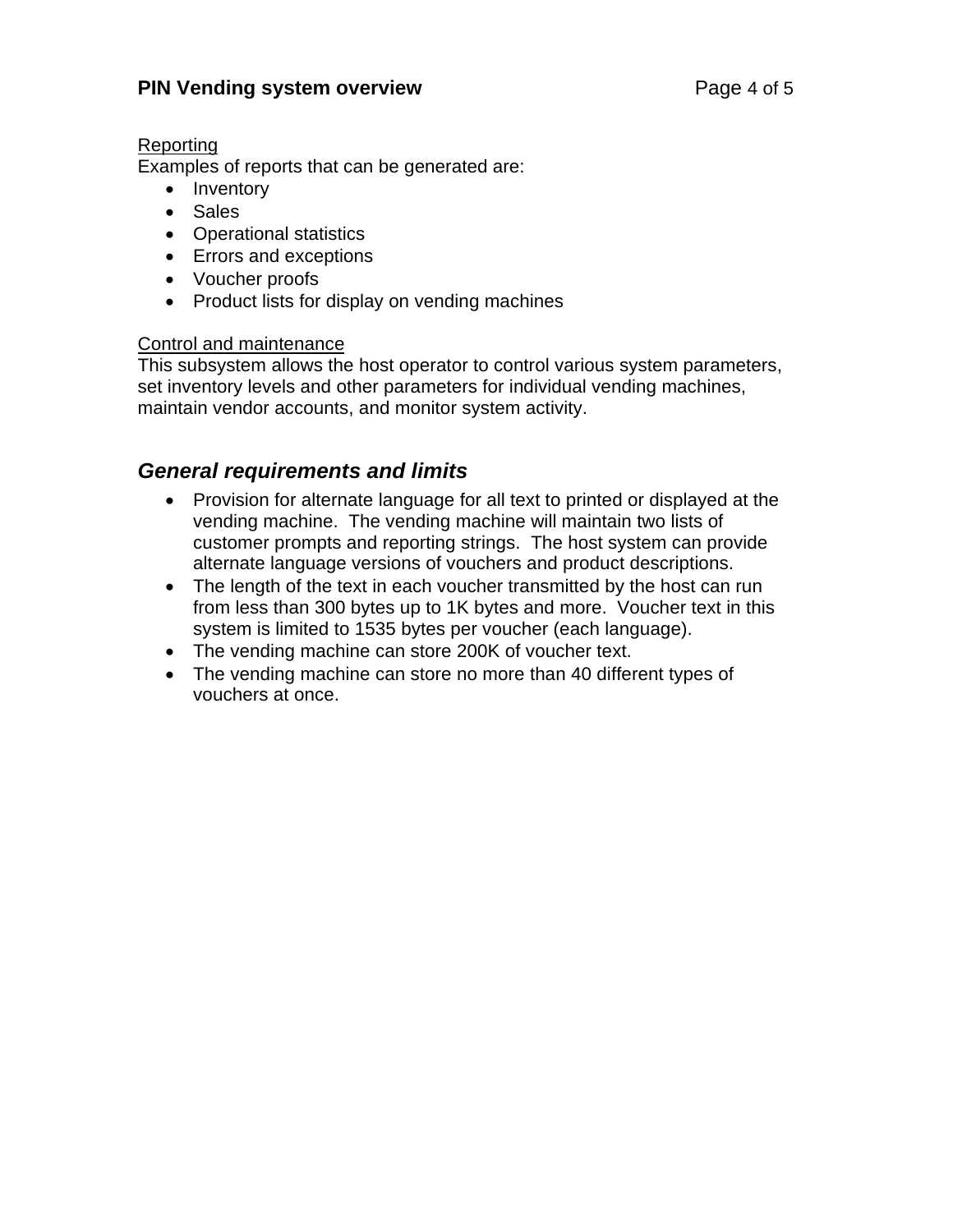### **PIN** Vending system overview **PIN** Vending system overview

#### **Reporting**

Examples of reports that can be generated are:

- Inventory
- · Sales
- · Operational statistics
- · Errors and exceptions
- · Voucher proofs
- Product lists for display on vending machines

#### Control and maintenance

This subsystem allows the host operator to control various system parameters, set inventory levels and other parameters for individual vending machines, maintain vendor accounts, and monitor system activity.

### **General requirements and limits**

- · Provision for alternate language for all text to printed or displayed at the vending machine. The vending machine will maintain two lists of customer prompts and reporting strings. The host system can provide alternate language versions of vouchers and product descriptions.
- The length of the text in each voucher transmitted by the host can run from less than 300 bytes up to 1K bytes and more. Voucher text in this system is limited to 1535 bytes per voucher (each language).
- The vending machine can store 200K of voucher text.
- · The vending machine can store no more than 40 different types of vouchers at once.